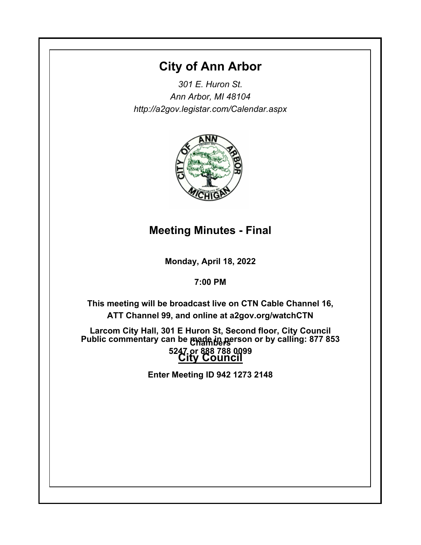# **City of Ann Arbor**

*301 E. Huron St. Ann Arbor, MI 48104 http://a2gov.legistar.com/Calendar.aspx*



# **Meeting Minutes - Final**

**Monday, April 18, 2022**

**7:00 PM**

**This meeting will be broadcast live on CTN Cable Channel 16, ATT Channel 99, and online at a2gov.org/watchCTN** 

**Larcom City Hall, 301 E Huron St, Second floor, City Council Chambers Public commentary can be made in person or by calling: 877 853 City Council 5247 or 888 788 0099** 

**Enter Meeting ID 942 1273 2148**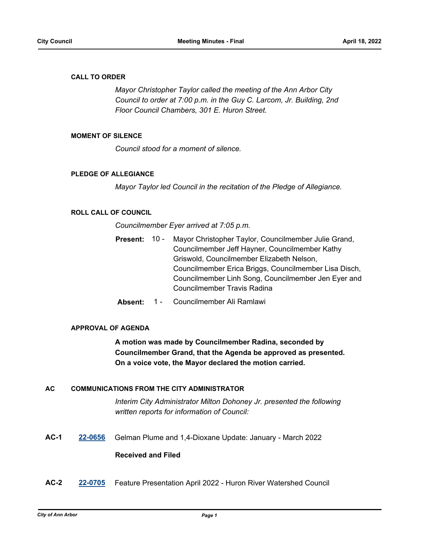### **CALL TO ORDER**

*Mayor Christopher Taylor called the meeting of the Ann Arbor City Council to order at 7:00 p.m. in the Guy C. Larcom, Jr. Building, 2nd Floor Council Chambers, 301 E. Huron Street.*

### **MOMENT OF SILENCE**

*Council stood for a moment of silence.*

### **PLEDGE OF ALLEGIANCE**

*Mayor Taylor led Council in the recitation of the Pledge of Allegiance.*

# **ROLL CALL OF COUNCIL**

*Councilmember Eyer arrived at 7:05 p.m.*

- Mayor Christopher Taylor, Councilmember Julie Grand, Councilmember Jeff Hayner, Councilmember Kathy Griswold, Councilmember Elizabeth Nelson, Councilmember Erica Briggs, Councilmember Lisa Disch, Councilmember Linh Song, Councilmember Jen Eyer and Councilmember Travis Radina **Present:** 10 -
- **Absent:** 1 Councilmember Ali Ramlawi

### **APPROVAL OF AGENDA**

**A motion was made by Councilmember Radina, seconded by Councilmember Grand, that the Agenda be approved as presented. On a voice vote, the Mayor declared the motion carried.**

### **AC COMMUNICATIONS FROM THE CITY ADMINISTRATOR**

*Interim City Administrator Milton Dohoney Jr. presented the following written reports for information of Council:*

**AC-1 [22-0656](http://a2gov.legistar.com/gateway.aspx?M=L&ID=29834)** Gelman Plume and 1,4-Dioxane Update: January - March 2022

### **Received and Filed**

**AC-2 [22-0705](http://a2gov.legistar.com/gateway.aspx?M=L&ID=29883)** Feature Presentation April 2022 - Huron River Watershed Council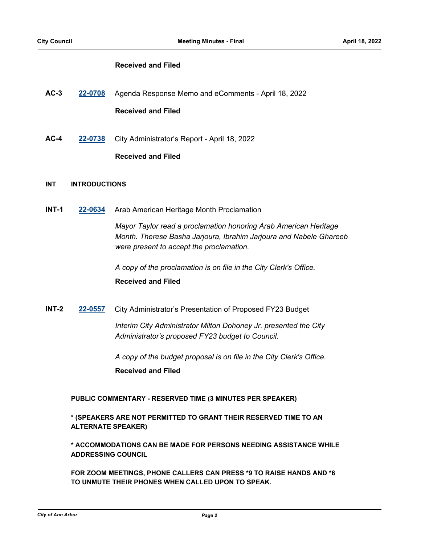### **Received and Filed**

- **AC-3 [22-0708](http://a2gov.legistar.com/gateway.aspx?M=L&ID=29886)** Agenda Response Memo and eComments April 18, 2022 **Received and Filed**
- **AC-4 [22-0738](http://a2gov.legistar.com/gateway.aspx?M=L&ID=29916)** City Administrator's Report April 18, 2022

### **Received and Filed**

### **INT INTRODUCTIONS**

**INT-1 [22-0634](http://a2gov.legistar.com/gateway.aspx?M=L&ID=29812)** Arab American Heritage Month Proclamation

*Mayor Taylor read a proclamation honoring Arab American Heritage Month. Therese Basha Jarjoura, Ibrahim Jarjoura and Nabele Ghareeb were present to accept the proclamation.*

*A copy of the proclamation is on file in the City Clerk's Office.*

### **Received and Filed**

**INT-2 [22-0557](http://a2gov.legistar.com/gateway.aspx?M=L&ID=29735)** City Administrator's Presentation of Proposed FY23 Budget

*Interim City Administrator Milton Dohoney Jr. presented the City Administrator's proposed FY23 budget to Council.* 

*A copy of the budget proposal is on file in the City Clerk's Office.*

**Received and Filed**

**PUBLIC COMMENTARY - RESERVED TIME (3 MINUTES PER SPEAKER)**

**\* (SPEAKERS ARE NOT PERMITTED TO GRANT THEIR RESERVED TIME TO AN ALTERNATE SPEAKER)**

**\* ACCOMMODATIONS CAN BE MADE FOR PERSONS NEEDING ASSISTANCE WHILE ADDRESSING COUNCIL**

**FOR ZOOM MEETINGS, PHONE CALLERS CAN PRESS \*9 TO RAISE HANDS AND \*6 TO UNMUTE THEIR PHONES WHEN CALLED UPON TO SPEAK.**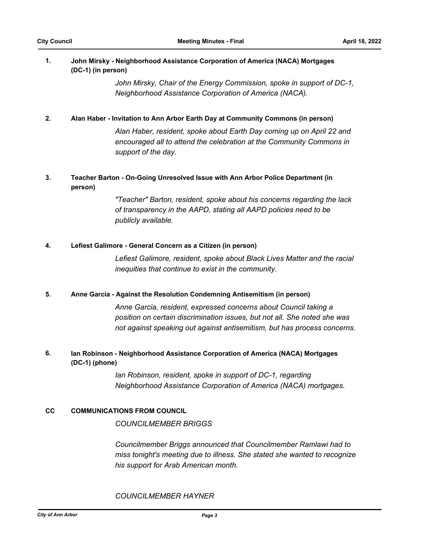### **John Mirsky - Neighborhood Assistance Corporation of America (NACA) Mortgages (DC-1) (in person) 1.**

*John Mirsky, Chair of the Energy Commission, spoke in support of DC-1, Neighborhood Assistance Corporation of America (NACA).*

### **2. Alan Haber - Invitation to Ann Arbor Earth Day at Community Commons (in person)**

*Alan Haber, resident, spoke about Earth Day coming up on April 22 and encouraged all to attend the celebration at the Community Commons in support of the day.*

### **Teacher Barton - On-Going Unresolved Issue with Ann Arbor Police Department (in person) 3.**

*"Teacher" Barton, resident, spoke about his concerns regarding the lack of transparency in the AAPD, stating all AAPD policies need to be publicly available.*

### **4. Lefiest Galimore - General Concern as a Citizen (in person)**

*Lefiest Galimore, resident, spoke about Black Lives Matter and the racial inequities that continue to exist in the community.*

### **5. Anne Garcia - Against the Resolution Condemning Antisemitism (in person)**

*Anne Garcia, resident, expressed concerns about Council taking a position on certain discrimination issues, but not all. She noted she was not against speaking out against antisemitism, but has process concerns.*

### **Ian Robinson - Neighborhood Assistance Corporation of America (NACA) Mortgages (DC-1) (phone) 6.**

*Ian Robinson, resident, spoke in support of DC-1, regarding Neighborhood Assistance Corporation of America (NACA) mortgages.*

### **CC COMMUNICATIONS FROM COUNCIL**

*COUNCILMEMBER BRIGGS*

*Councilmember Briggs announced that Councilmember Ramlawi had to miss tonight's meeting due to illness. She stated she wanted to recognize his support for Arab American month.*

### *COUNCILMEMBER HAYNER*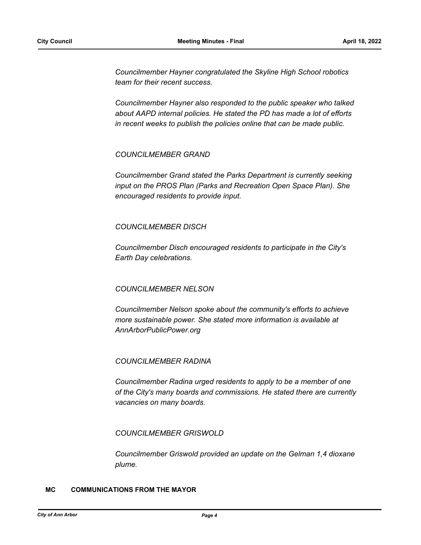*Councilmember Hayner congratulated the Skyline High School robotics team for their recent success.* 

*Councilmember Hayner also responded to the public speaker who talked about AAPD internal policies. He stated the PD has made a lot of efforts in recent weeks to publish the policies online that can be made public.*

### *COUNCILMEMBER GRAND*

*Councilmember Grand stated the Parks Department is currently seeking input on the PROS Plan (Parks and Recreation Open Space Plan). She encouraged residents to provide input.*

### *COUNCILMEMBER DISCH*

*Councilmember Disch encouraged residents to participate in the City's Earth Day celebrations.*

### *COUNCILMEMBER NELSON*

*Councilmember Nelson spoke about the community's efforts to achieve more sustainable power. She stated more information is available at AnnArborPublicPower.org*

### *COUNCILMEMBER RADINA*

*Councilmember Radina urged residents to apply to be a member of one of the City's many boards and commissions. He stated there are currently vacancies on many boards.*

### *COUNCILMEMBER GRISWOLD*

*Councilmember Griswold provided an update on the Gelman 1,4 dioxane plume.*

### **MC COMMUNICATIONS FROM THE MAYOR**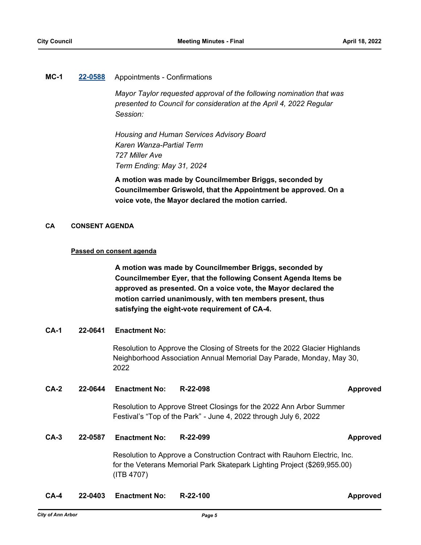### **MC-1 [22-0588](http://a2gov.legistar.com/gateway.aspx?M=L&ID=29766)** Appointments - Confirmations

*Mayor Taylor requested approval of the following nomination that was presented to Council for consideration at the April 4, 2022 Regular Session:*

*Housing and Human Services Advisory Board Karen Wanza-Partial Term 727 Miller Ave Term Ending: May 31, 2024*

**A motion was made by Councilmember Briggs, seconded by Councilmember Griswold, that the Appointment be approved. On a voice vote, the Mayor declared the motion carried.**

### **CA CONSENT AGENDA**

### **Passed on consent agenda**

**A motion was made by Councilmember Briggs, seconded by Councilmember Eyer, that the following Consent Agenda Items be approved as presented. On a voice vote, the Mayor declared the motion carried unanimously, with ten members present, thus satisfying the eight-vote requirement of CA-4.**

### **CA-1 22-0641 Enactment No:**

Resolution to Approve the Closing of Streets for the 2022 Glacier Highlands Neighborhood Association Annual Memorial Day Parade, Monday, May 30, 2022

### **CA-2 22-0644 Enactment No: R-22-098 Approved**

Resolution to Approve Street Closings for the 2022 Ann Arbor Summer Festival's "Top of the Park" - June 4, 2022 through July 6, 2022

### **CA-3 22-0587 Enactment No: R-22-099 Approved**

Resolution to Approve a Construction Contract with Rauhorn Electric, Inc. for the Veterans Memorial Park Skatepark Lighting Project (\$269,955.00) (ITB 4707)

**CA-4 22-0403 Enactment No: R-22-100 Approved**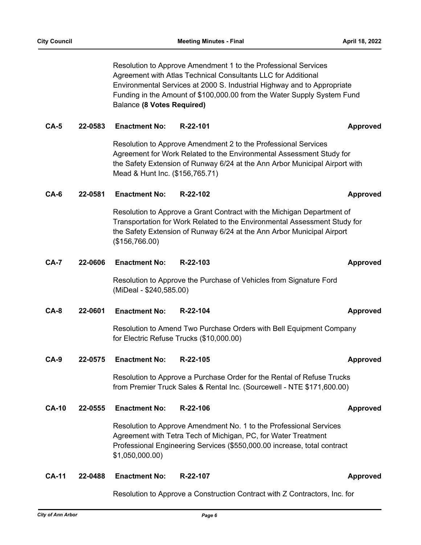Resolution to Approve Amendment 1 to the Professional Services Agreement with Atlas Technical Consultants LLC for Additional Environmental Services at 2000 S. Industrial Highway and to Appropriate Funding in the Amount of \$100,000.00 from the Water Supply System Fund Balance **(8 Votes Required)**

### **CA-5 22-0583 Enactment No: R-22-101 Approved**

Resolution to Approve Amendment 2 to the Professional Services Agreement for Work Related to the Environmental Assessment Study for the Safety Extension of Runway 6/24 at the Ann Arbor Municipal Airport with Mead & Hunt Inc. (\$156,765.71)

### **CA-6 22-0581 Enactment No: R-22-102 Approved**

Resolution to Approve a Grant Contract with the Michigan Department of Transportation for Work Related to the Environmental Assessment Study for the Safety Extension of Runway 6/24 at the Ann Arbor Municipal Airport (\$156,766.00)

**CA-7 22-0606 Enactment No: R-22-103 Approved**

Resolution to Approve the Purchase of Vehicles from Signature Ford (MiDeal - \$240,585.00)

### **CA-8 22-0601 Enactment No: R-22-104 Approved**

Resolution to Amend Two Purchase Orders with Bell Equipment Company for Electric Refuse Trucks (\$10,000.00)

**CA-9 22-0575 Enactment No: R-22-105 Approved**

Resolution to Approve a Purchase Order for the Rental of Refuse Trucks from Premier Truck Sales & Rental Inc. (Sourcewell - NTE \$171,600.00)

### **CA-10 22-0555 Enactment No: R-22-106 Approved**

Resolution to Approve Amendment No. 1 to the Professional Services Agreement with Tetra Tech of Michigan, PC, for Water Treatment Professional Engineering Services (\$550,000.00 increase, total contract \$1,050,000.00)

### **CA-11 22-0488 Enactment No: R-22-107 Approved**

Resolution to Approve a Construction Contract with Z Contractors, Inc. for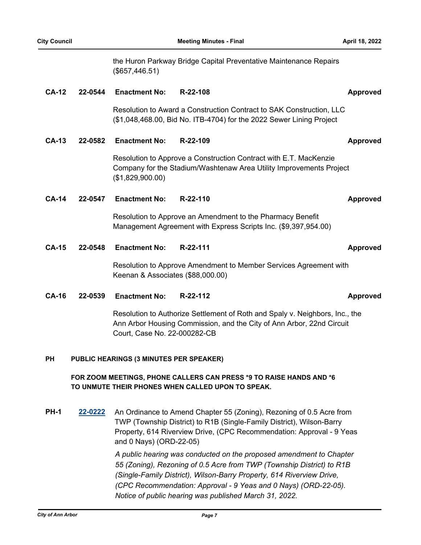the Huron Parkway Bridge Capital Preventative Maintenance Repairs (\$657,446.51)

### **CA-12 22-0544 Enactment No: R-22-108 Approved**

Resolution to Award a Construction Contract to SAK Construction, LLC (\$1,048,468.00, Bid No. ITB-4704) for the 2022 Sewer Lining Project

### **CA-13 22-0582 Enactment No: R-22-109 Approved**

Resolution to Approve a Construction Contract with E.T. MacKenzie Company for the Stadium/Washtenaw Area Utility Improvements Project (\$1,829,900.00)

### **CA-14 22-0547 Enactment No: R-22-110 Approved**

Resolution to Approve an Amendment to the Pharmacy Benefit Management Agreement with Express Scripts Inc. (\$9,397,954.00)

**CA-15 22-0548 Enactment No: R-22-111 Approved**

Resolution to Approve Amendment to Member Services Agreement with Keenan & Associates (\$88,000.00)

### **CA-16 22-0539 Enactment No: R-22-112 Approved**

Resolution to Authorize Settlement of Roth and Spaly v. Neighbors, Inc., the Ann Arbor Housing Commission, and the City of Ann Arbor, 22nd Circuit Court, Case No. 22-000282-CB

### **PUBLIC HEARINGS (3 MINUTES PER SPEAKER) PH**

### **FOR ZOOM MEETINGS, PHONE CALLERS CAN PRESS \*9 TO RAISE HANDS AND \*6 TO UNMUTE THEIR PHONES WHEN CALLED UPON TO SPEAK.**

**PH-1 [22-0222](http://a2gov.legistar.com/gateway.aspx?M=L&ID=29409)** An Ordinance to Amend Chapter 55 (Zoning), Rezoning of 0.5 Acre from TWP (Township District) to R1B (Single-Family District), Wilson-Barry Property, 614 Riverview Drive, (CPC Recommendation: Approval - 9 Yeas and 0 Nays) (ORD-22-05)

> *A public hearing was conducted on the proposed amendment to Chapter 55 (Zoning), Rezoning of 0.5 Acre from TWP (Township District) to R1B (Single-Family District), Wilson-Barry Property, 614 Riverview Drive, (CPC Recommendation: Approval - 9 Yeas and 0 Nays) (ORD-22-05). Notice of public hearing was published March 31, 2022.*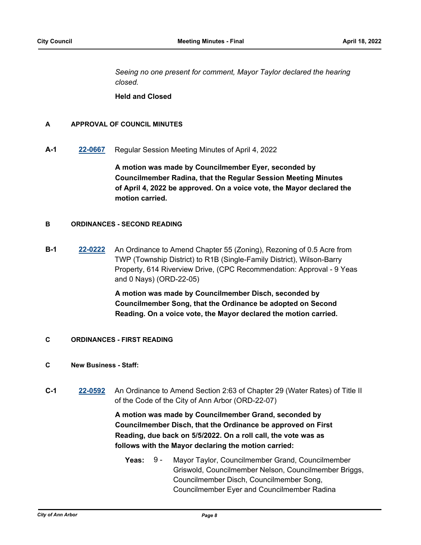*Seeing no one present for comment, Mayor Taylor declared the hearing closed.*

**Held and Closed**

### **A APPROVAL OF COUNCIL MINUTES**

**A-1 [22-0667](http://a2gov.legistar.com/gateway.aspx?M=L&ID=29845)** Regular Session Meeting Minutes of April 4, 2022

**A motion was made by Councilmember Eyer, seconded by Councilmember Radina, that the Regular Session Meeting Minutes of April 4, 2022 be approved. On a voice vote, the Mayor declared the motion carried.**

### **B ORDINANCES - SECOND READING**

**B-1 [22-0222](http://a2gov.legistar.com/gateway.aspx?M=L&ID=29409)** An Ordinance to Amend Chapter 55 (Zoning), Rezoning of 0.5 Acre from TWP (Township District) to R1B (Single-Family District), Wilson-Barry Property, 614 Riverview Drive, (CPC Recommendation: Approval - 9 Yeas and 0 Nays) (ORD-22-05)

> **A motion was made by Councilmember Disch, seconded by Councilmember Song, that the Ordinance be adopted on Second Reading. On a voice vote, the Mayor declared the motion carried.**

**C ORDINANCES - FIRST READING**

### **C New Business - Staff:**

**C-1 [22-0592](http://a2gov.legistar.com/gateway.aspx?M=L&ID=29770)** An Ordinance to Amend Section 2:63 of Chapter 29 (Water Rates) of Title II of the Code of the City of Ann Arbor (ORD-22-07)

> **A motion was made by Councilmember Grand, seconded by Councilmember Disch, that the Ordinance be approved on First Reading, due back on 5/5/2022. On a roll call, the vote was as follows with the Mayor declaring the motion carried:**

**Yeas:** Mayor Taylor, Councilmember Grand, Councilmember Griswold, Councilmember Nelson, Councilmember Briggs, Councilmember Disch, Councilmember Song, Councilmember Eyer and Councilmember Radina Yeas:  $9 -$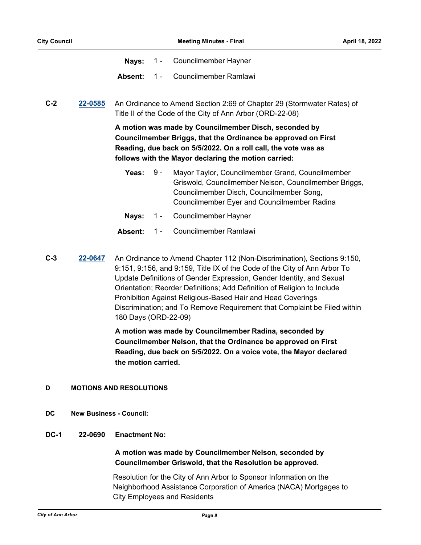- **Nays:** 1 Councilmember Hayner
- **Absent:** 1 Councilmember Ramlawi

**C-2 [22-0585](http://a2gov.legistar.com/gateway.aspx?M=L&ID=29763)** An Ordinance to Amend Section 2:69 of Chapter 29 (Stormwater Rates) of Title II of the Code of the City of Ann Arbor (ORD-22-08)

> **A motion was made by Councilmember Disch, seconded by Councilmember Briggs, that the Ordinance be approved on First Reading, due back on 5/5/2022. On a roll call, the vote was as follows with the Mayor declaring the motion carried:**

- Yeas: 9 Mayor Taylor, Councilmember Grand, Councilmember Griswold, Councilmember Nelson, Councilmember Briggs, Councilmember Disch, Councilmember Song, Councilmember Eyer and Councilmember Radina 9 -
- **Nays:** 1 Councilmember Hayner
- **Absent:** 1 Councilmember Ramlawi
- **C-3 [22-0647](http://a2gov.legistar.com/gateway.aspx?M=L&ID=29825)** An Ordinance to Amend Chapter 112 (Non-Discrimination), Sections 9:150, 9:151, 9:156, and 9:159, Title IX of the Code of the City of Ann Arbor To Update Definitions of Gender Expression, Gender Identity, and Sexual Orientation; Reorder Definitions; Add Definition of Religion to Include Prohibition Against Religious-Based Hair and Head Coverings Discrimination; and To Remove Requirement that Complaint be Filed within 180 Days (ORD-22-09)

**A motion was made by Councilmember Radina, seconded by Councilmember Nelson, that the Ordinance be approved on First Reading, due back on 5/5/2022. On a voice vote, the Mayor declared the motion carried.**

### **D MOTIONS AND RESOLUTIONS**

- **DC New Business Council:**
- **DC-1 22-0690 Enactment No:**

## **A motion was made by Councilmember Nelson, seconded by Councilmember Griswold, that the Resolution be approved.**

Resolution for the City of Ann Arbor to Sponsor Information on the Neighborhood Assistance Corporation of America (NACA) Mortgages to City Employees and Residents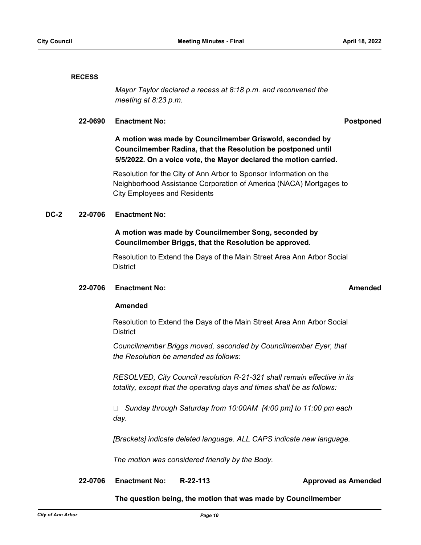### **RECESS**

*Mayor Taylor declared a recess at 8:18 p.m. and reconvened the meeting at 8:23 p.m.*

### **22-0690 Enactment No: Postponed**

**A motion was made by Councilmember Griswold, seconded by Councilmember Radina, that the Resolution be postponed until 5/5/2022. On a voice vote, the Mayor declared the motion carried.**

Resolution for the City of Ann Arbor to Sponsor Information on the Neighborhood Assistance Corporation of America (NACA) Mortgages to City Employees and Residents

### **DC-2 22-0706 Enactment No:**

# **A motion was made by Councilmember Song, seconded by Councilmember Briggs, that the Resolution be approved.**

Resolution to Extend the Days of the Main Street Area Ann Arbor Social **District** 

### **22-0706 Enactment No: Amended**

### **Amended**

Resolution to Extend the Days of the Main Street Area Ann Arbor Social **District** 

*Councilmember Briggs moved, seconded by Councilmember Eyer, that the Resolution be amended as follows:*

*RESOLVED, City Council resolution R-21-321 shall remain effective in its totality, except that the operating days and times shall be as follows:*

 *Sunday through Saturday from 10:00AM [4:00 pm] to 11:00 pm each day.*

*[Brackets] indicate deleted language. ALL CAPS indicate new language.*

*The motion was considered friendly by the Body.*

## **22-0706 Enactment No: R-22-113 Approved as Amended**

### **The question being, the motion that was made by Councilmember**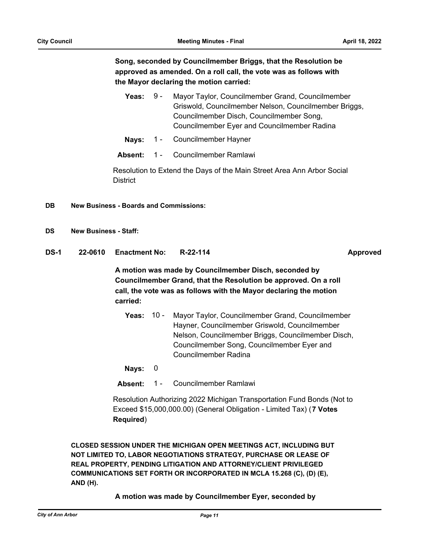**Song, seconded by Councilmember Briggs, that the Resolution be approved as amended. On a roll call, the vote was as follows with the Mayor declaring the motion carried:**

- Yeas: 9 Mayor Taylor, Councilmember Grand, Councilmember Griswold, Councilmember Nelson, Councilmember Briggs, Councilmember Disch, Councilmember Song, Councilmember Eyer and Councilmember Radina 9 -
- **Nays:** 1 Councilmember Hayner
- **Absent:** 1 Councilmember Ramlawi

Resolution to Extend the Days of the Main Street Area Ann Arbor Social **District** 

- **DB New Business Boards and Commissions:**
- **DS New Business Staff:**
- **DS-1 22-0610 Enactment No: R-22-114 Approved**

**A motion was made by Councilmember Disch, seconded by Councilmember Grand, that the Resolution be approved. On a roll call, the vote was as follows with the Mayor declaring the motion carried:**

**Yeas:** Mayor Taylor, Councilmember Grand, Councilmember Hayner, Councilmember Griswold, Councilmember Nelson, Councilmember Briggs, Councilmember Disch, Councilmember Song, Councilmember Eyer and Councilmember Radina **Yeas: 10 -**

**Nays:** 0

**Absent:** 1 - Councilmember Ramlawi

Resolution Authorizing 2022 Michigan Transportation Fund Bonds (Not to Exceed \$15,000,000.00) (General Obligation - Limited Tax) (**7 Votes Required**)

**CLOSED SESSION UNDER THE MICHIGAN OPEN MEETINGS ACT, INCLUDING BUT NOT LIMITED TO, LABOR NEGOTIATIONS STRATEGY, PURCHASE OR LEASE OF REAL PROPERTY, PENDING LITIGATION AND ATTORNEY/CLIENT PRIVILEGED COMMUNICATIONS SET FORTH OR INCORPORATED IN MCLA 15.268 (C), (D) (E), AND (H).**

**A motion was made by Councilmember Eyer, seconded by**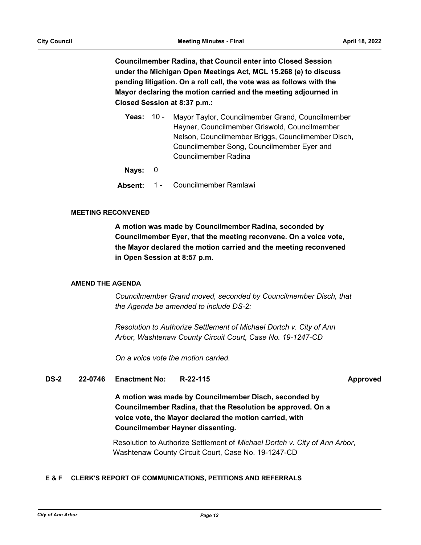**Councilmember Radina, that Council enter into Closed Session under the Michigan Open Meetings Act, MCL 15.268 (e) to discuss pending litigation. On a roll call, the vote was as follows with the Mayor declaring the motion carried and the meeting adjourned in Closed Session at 8:37 p.m.:**

**Yeas:** Mayor Taylor, Councilmember Grand, Councilmember Hayner, Councilmember Griswold, Councilmember Nelson, Councilmember Briggs, Councilmember Disch, Councilmember Song, Councilmember Eyer and Councilmember Radina **Yeas: 10 -**

**Nays:** 0

**Absent:** 1 - Councilmember Ramlawi

### **MEETING RECONVENED**

**A motion was made by Councilmember Radina, seconded by Councilmember Eyer, that the meeting reconvene. On a voice vote, the Mayor declared the motion carried and the meeting reconvened in Open Session at 8:57 p.m.**

### **AMEND THE AGENDA**

*Councilmember Grand moved, seconded by Councilmember Disch, that the Agenda be amended to include DS-2:*

*Resolution to Authorize Settlement of Michael Dortch v. City of Ann Arbor, Washtenaw County Circuit Court, Case No. 19-1247-CD*

*On a voice vote the motion carried.*

### **DS-2 22-0746 Enactment No: R-22-115 Approved**

**A motion was made by Councilmember Disch, seconded by Councilmember Radina, that the Resolution be approved. On a voice vote, the Mayor declared the motion carried, with Councilmember Hayner dissenting.**

Resolution to Authorize Settlement of *Michael Dortch v. City of Ann Arbor*, Washtenaw County Circuit Court, Case No. 19-1247-CD

### **E & F CLERK'S REPORT OF COMMUNICATIONS, PETITIONS AND REFERRALS**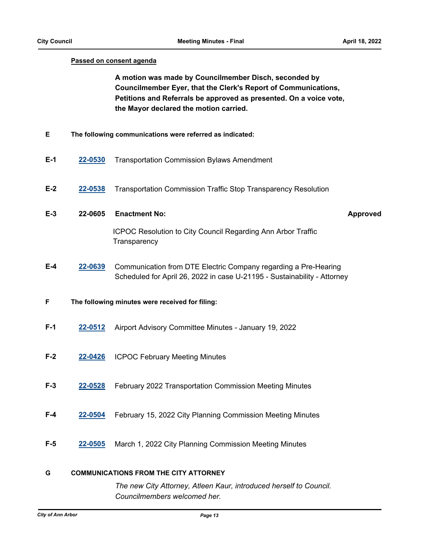### **Passed on consent agenda**

**A motion was made by Councilmember Disch, seconded by Councilmember Eyer, that the Clerk's Report of Communications, Petitions and Referrals be approved as presented. On a voice vote, the Mayor declared the motion carried.**

- **E The following communications were referred as indicated:**
- **E-1 [22-0530](http://a2gov.legistar.com/gateway.aspx?M=L&ID=29708)** Transportation Commission Bylaws Amendment
- **E-2 [22-0538](http://a2gov.legistar.com/gateway.aspx?M=L&ID=29716)** Transportation Commission Traffic Stop Transparency Resolution
- **E-3 22-0605 Enactment No: Approved** ICPOC Resolution to City Council Regarding Ann Arbor Traffic
	- **Transparency**
- **E-4 [22-0639](http://a2gov.legistar.com/gateway.aspx?M=L&ID=29817)** Communication from DTE Electric Company regarding a Pre-Hearing Scheduled for April 26, 2022 in case U-21195 - Sustainability - Attorney
- **F The following minutes were received for filing:**
- **F-1 [22-0512](http://a2gov.legistar.com/gateway.aspx?M=L&ID=29690)** Airport Advisory Committee Minutes January 19, 2022
- **F-2 [22-0426](http://a2gov.legistar.com/gateway.aspx?M=L&ID=29610)** ICPOC February Meeting Minutes
- **F-3 [22-0528](http://a2gov.legistar.com/gateway.aspx?M=L&ID=29706)** February 2022 Transportation Commission Meeting Minutes
- **F-4 [22-0504](http://a2gov.legistar.com/gateway.aspx?M=L&ID=29682)** February 15, 2022 City Planning Commission Meeting Minutes
- **F-5 [22-0505](http://a2gov.legistar.com/gateway.aspx?M=L&ID=29683)** March 1, 2022 City Planning Commission Meeting Minutes

### **G COMMUNICATIONS FROM THE CITY ATTORNEY**

*The new City Attorney, Atleen Kaur, introduced herself to Council. Councilmembers welcomed her.*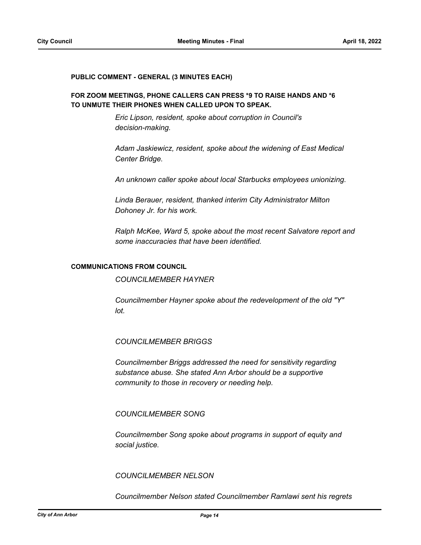### **PUBLIC COMMENT - GENERAL (3 MINUTES EACH)**

### **FOR ZOOM MEETINGS, PHONE CALLERS CAN PRESS \*9 TO RAISE HANDS AND \*6 TO UNMUTE THEIR PHONES WHEN CALLED UPON TO SPEAK.**

*Eric Lipson, resident, spoke about corruption in Council's decision-making.*

*Adam Jaskiewicz, resident, spoke about the widening of East Medical Center Bridge.*

*An unknown caller spoke about local Starbucks employees unionizing.*

*Linda Berauer, resident, thanked interim City Administrator Milton Dohoney Jr. for his work.*

*Ralph McKee, Ward 5, spoke about the most recent Salvatore report and some inaccuracies that have been identified.*

### **COMMUNICATIONS FROM COUNCIL**

*COUNCILMEMBER HAYNER*

*Councilmember Hayner spoke about the redevelopment of the old "Y" lot.*

*COUNCILMEMBER BRIGGS*

*Councilmember Briggs addressed the need for sensitivity regarding substance abuse. She stated Ann Arbor should be a supportive community to those in recovery or needing help.*

### *COUNCILMEMBER SONG*

*Councilmember Song spoke about programs in support of equity and social justice.*

*COUNCILMEMBER NELSON*

*Councilmember Nelson stated Councilmember Ramlawi sent his regrets*